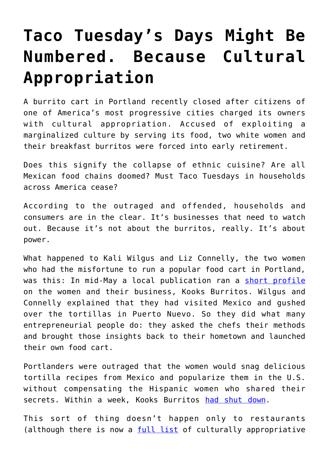## **[Taco Tuesday's Days Might Be](https://intellectualtakeout.org/2017/06/taco-tuesdays-days-might-be-numbered-because-cultural-appropriation/) [Numbered. Because Cultural](https://intellectualtakeout.org/2017/06/taco-tuesdays-days-might-be-numbered-because-cultural-appropriation/) [Appropriation](https://intellectualtakeout.org/2017/06/taco-tuesdays-days-might-be-numbered-because-cultural-appropriation/)**

A burrito cart in Portland recently closed after citizens of one of America's most progressive cities charged its owners with cultural appropriation. Accused of exploiting a marginalized culture by serving its food, two white women and their breakfast burritos were forced into early retirement.

Does this signify the collapse of ethnic cuisine? Are all Mexican food chains doomed? Must Taco Tuesdays in households across America cease?

According to the outraged and offended, households and consumers are in the clear. It's businesses that need to watch out. Because it's not about the burritos, really. It's about power.

What happened to Kali Wilgus and Liz Connelly, the two women who had the misfortune to run a popular food cart in Portland, was this: In mid-May a local publication ran a [short profile](http://www.wweek.com/uncategorized/2017/05/16/kooks-serves-pop-up-breakfast-burritos-with-handmade-tortillas-out-of-a-food-cart-on-cesar-chavez/%20) on the women and their business, Kooks Burritos. Wilgus and Connelly explained that they had visited Mexico and gushed over the tortillas in Puerto Nuevo. So they did what many entrepreneurial people do: they asked the chefs their methods and brought those insights back to their hometown and launched their own food cart.

Portlanders were outraged that the women would snag delicious tortilla recipes from Mexico and popularize them in the U.S. without compensating the Hispanic women who shared their secrets. Within a week, Kooks Burritos [had shut down](http://www.foxnews.com/food-drink/2017/05/24/portland-burrito-shop-forced-to-close-amid-accusations-cultural-appropriation-stealing-recipes.html).

This sort of thing doesn't happen only to restaurants (although there is now a [full list](https://docs.google.com/spreadsheets/d/1JJuHMuAeuHxy-c4nyp6NLghhrCdZYO7I5kDGSt22Ie8/htmlview) of culturally appropriative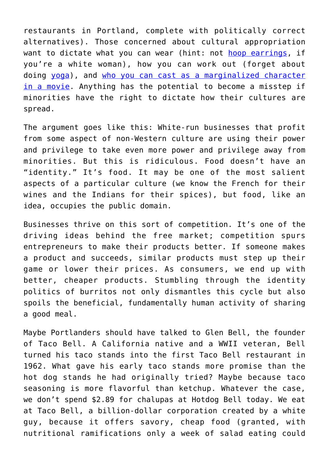restaurants in Portland, complete with politically correct alternatives). Those concerned about cultural appropriation want to dictate what you can wear (hint: not [hoop earrings,](http://www.nationalreview.com/article/445611/campus-email-white-girls-stop-wearing-hoop-earrings-cultural-appropriation%20) if you're a white woman), how you can work out (forget about doing [yoga\)](http://www.slate.com/articles/double_x/doublex/2015/11/university_canceled_yoga_class_no_it_s_not_cultural_appropriation_to_practice.html), and [who you can cast as a marginalized character](https://acculturated.com/hollywood-guilty-cultural-appropriation-casting/) [in a movie](https://acculturated.com/hollywood-guilty-cultural-appropriation-casting/). Anything has the potential to become a misstep if minorities have the right to dictate how their cultures are spread.

The argument goes like this: White-run businesses that profit from some aspect of non-Western culture are using their power and privilege to take even more power and privilege away from minorities. But this is ridiculous. Food doesn't have an "identity." It's food. It may be one of the most salient aspects of a particular culture (we know the French for their wines and the Indians for their spices), but food, like an idea, occupies the public domain.

Businesses thrive on this sort of competition. It's one of the driving ideas behind the free market; competition spurs entrepreneurs to make their products better. If someone makes a product and succeeds, similar products must step up their game or lower their prices. As consumers, we end up with better, cheaper products. Stumbling through the identity politics of burritos not only dismantles this cycle but also spoils the beneficial, fundamentally human activity of sharing a good meal.

Maybe Portlanders should have talked to Glen Bell, the founder of Taco Bell. A California native and a WWII veteran, Bell turned his taco stands into the first Taco Bell restaurant in 1962. What gave his early taco stands more promise than the hot dog stands he had originally tried? Maybe because taco seasoning is more flavorful than ketchup. Whatever the case, we don't spend \$2.89 for chalupas at Hotdog Bell today. We eat at Taco Bell, a billion-dollar corporation created by a white guy, because it offers savory, cheap food (granted, with nutritional ramifications only a week of salad eating could